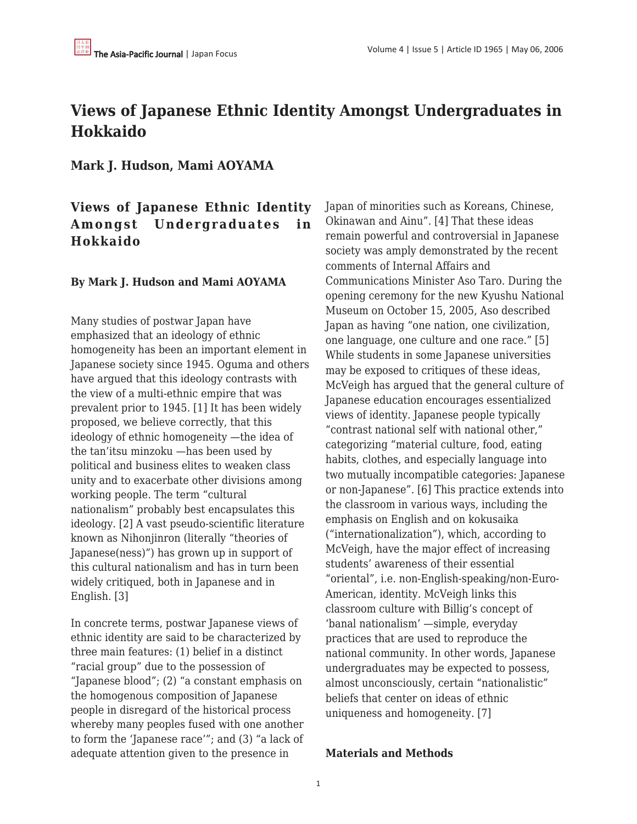# **Views of Japanese Ethnic Identity Amongst Undergraduates in Hokkaido**

**Mark J. Hudson, Mami AOYAMA**

# **Views of Japanese Ethnic Identity Amongst Undergraduates in Hokkaido**

## **By Mark J. Hudson and Mami AOYAMA**

Many studies of postwar Japan have emphasized that an ideology of ethnic homogeneity has been an important element in Japanese society since 1945. Oguma and others have argued that this ideology contrasts with the view of a multi-ethnic empire that was prevalent prior to 1945. [1] It has been widely proposed, we believe correctly, that this ideology of ethnic homogeneity —the idea of the tan'itsu minzoku —has been used by political and business elites to weaken class unity and to exacerbate other divisions among working people. The term "cultural nationalism" probably best encapsulates this ideology. [2] A vast pseudo-scientific literature known as Nihonjinron (literally "theories of Japanese(ness)") has grown up in support of this cultural nationalism and has in turn been widely critiqued, both in Japanese and in English. [3]

In concrete terms, postwar Japanese views of ethnic identity are said to be characterized by three main features: (1) belief in a distinct "racial group" due to the possession of "Japanese blood"; (2) "a constant emphasis on the homogenous composition of Japanese people in disregard of the historical process whereby many peoples fused with one another to form the 'Japanese race'"; and (3) "a lack of adequate attention given to the presence in

Japan of minorities such as Koreans, Chinese, Okinawan and Ainu". [4] That these ideas remain powerful and controversial in Japanese society was amply demonstrated by the recent comments of Internal Affairs and Communications Minister Aso Taro. During the opening ceremony for the new Kyushu National Museum on October 15, 2005, Aso described Japan as having "one nation, one civilization, one language, one culture and one race." [5] While students in some Japanese universities may be exposed to critiques of these ideas, McVeigh has argued that the general culture of Japanese education encourages essentialized views of identity. Japanese people typically "contrast national self with national other," categorizing "material culture, food, eating habits, clothes, and especially language into two mutually incompatible categories: Japanese or non-Japanese". [6] This practice extends into the classroom in various ways, including the emphasis on English and on kokusaika ("internationalization"), which, according to McVeigh, have the major effect of increasing students' awareness of their essential "oriental", i.e. non-English-speaking/non-Euro-American, identity. McVeigh links this classroom culture with Billig's concept of 'banal nationalism' —simple, everyday practices that are used to reproduce the national community. In other words, Japanese undergraduates may be expected to possess, almost unconsciously, certain "nationalistic" beliefs that center on ideas of ethnic uniqueness and homogeneity. [7]

#### **Materials and Methods**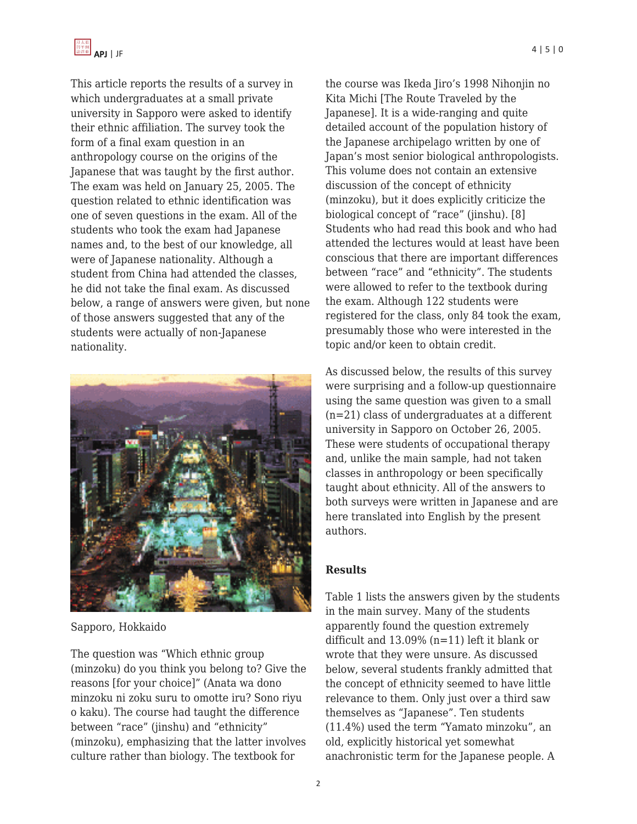

This article reports the results of a survey in which undergraduates at a small private university in Sapporo were asked to identify their ethnic affiliation. The survey took the form of a final exam question in an anthropology course on the origins of the Japanese that was taught by the first author. The exam was held on January 25, 2005. The question related to ethnic identification was one of seven questions in the exam. All of the students who took the exam had Japanese names and, to the best of our knowledge, all were of Japanese nationality. Although a student from China had attended the classes, he did not take the final exam. As discussed below, a range of answers were given, but none of those answers suggested that any of the students were actually of non-Japanese nationality.



Sapporo, Hokkaido

The question was "Which ethnic group (minzoku) do you think you belong to? Give the reasons [for your choice]" (Anata wa dono minzoku ni zoku suru to omotte iru? Sono riyu o kaku). The course had taught the difference between "race" (jinshu) and "ethnicity" (minzoku), emphasizing that the latter involves culture rather than biology. The textbook for

the course was Ikeda Jiro's 1998 Nihonjin no Kita Michi [The Route Traveled by the Japanese]. It is a wide-ranging and quite detailed account of the population history of the Japanese archipelago written by one of Japan's most senior biological anthropologists. This volume does not contain an extensive discussion of the concept of ethnicity (minzoku), but it does explicitly criticize the biological concept of "race" (jinshu). [8] Students who had read this book and who had attended the lectures would at least have been conscious that there are important differences between "race" and "ethnicity". The students were allowed to refer to the textbook during the exam. Although 122 students were registered for the class, only 84 took the exam, presumably those who were interested in the topic and/or keen to obtain credit.

As discussed below, the results of this survey were surprising and a follow-up questionnaire using the same question was given to a small (n=21) class of undergraduates at a different university in Sapporo on October 26, 2005. These were students of occupational therapy and, unlike the main sample, had not taken classes in anthropology or been specifically taught about ethnicity. All of the answers to both surveys were written in Japanese and are here translated into English by the present authors.

#### **Results**

Table 1 lists the answers given by the students in the main survey. Many of the students apparently found the question extremely difficult and 13.09% (n=11) left it blank or wrote that they were unsure. As discussed below, several students frankly admitted that the concept of ethnicity seemed to have little relevance to them. Only just over a third saw themselves as "Japanese". Ten students (11.4%) used the term "Yamato minzoku", an old, explicitly historical yet somewhat anachronistic term for the Japanese people. A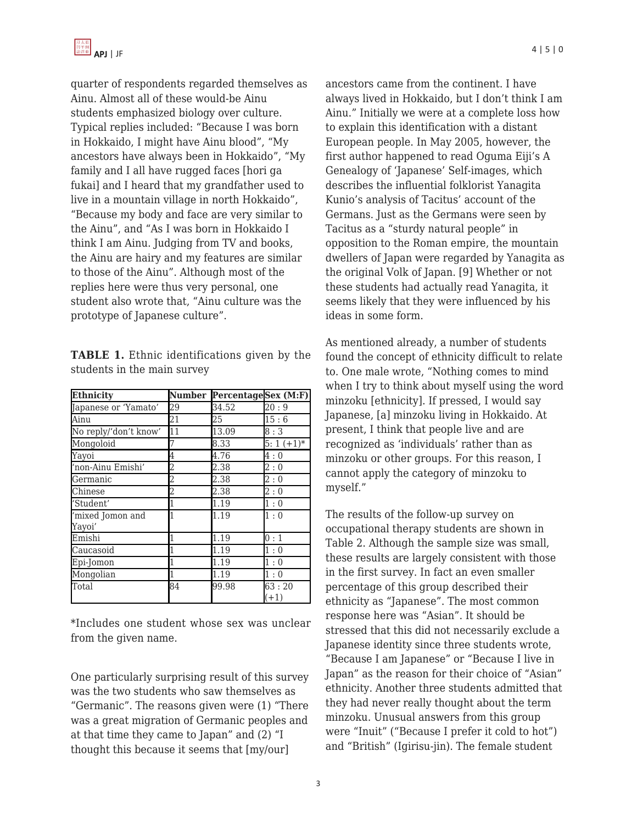quarter of respondents regarded themselves as Ainu. Almost all of these would-be Ainu students emphasized biology over culture. Typical replies included: "Because I was born in Hokkaido, I might have Ainu blood", "My ancestors have always been in Hokkaido", "My family and I all have rugged faces [hori ga fukai] and I heard that my grandfather used to live in a mountain village in north Hokkaido", "Because my body and face are very similar to the Ainu", and "As I was born in Hokkaido I think I am Ainu. Judging from TV and books, the Ainu are hairy and my features are similar to those of the Ainu". Although most of the replies here were thus very personal, one student also wrote that, "Ainu culture was the prototype of Japanese culture".

**TABLE 1.** Ethnic identifications given by the students in the main survey

| <b>Ethnicity</b>           | <b>Number</b> | PercentageSex (M:F) |                 |
|----------------------------|---------------|---------------------|-----------------|
| Japanese or 'Yamato'       | 29            | 34.52               | 20:9            |
| Ainu                       | 21            | 25                  | 15:6            |
| No reply/'don't know'      | 11            | 13.09               | 8:3             |
| Mongoloid                  |               | 8.33                | $5:1 (+1)*$     |
| Yayoi                      | 4             | 4.76                | 4:0             |
| 'non-Ainu Emishi'          | 2             | 2.38                | 2:0             |
| Germanic                   | 2             | 2.38                | 2:0             |
| Chinese                    | 2             | 2.38                | 2:0             |
| 'Student'                  |               | 1.19                | 1:0             |
| 'mixed Jomon and<br>Yayoi' |               | 1.19                | 1:0             |
| Emishi                     | 1             | 1.19                | 0:1             |
| Caucasoid                  |               | 1.19                | 1:0             |
| Epi-Jomon                  |               | 1.19                | 1:0             |
| Mongolian                  |               | 1.19                | 1:0             |
| Total                      | 84            | 99.98               | 63:20<br>$(+1)$ |

\*Includes one student whose sex was unclear from the given name.

One particularly surprising result of this survey was the two students who saw themselves as "Germanic". The reasons given were (1) "There was a great migration of Germanic peoples and at that time they came to Japan" and (2) "I thought this because it seems that [my/our]

ancestors came from the continent. I have always lived in Hokkaido, but I don't think I am Ainu." Initially we were at a complete loss how to explain this identification with a distant European people. In May 2005, however, the first author happened to read Oguma Eiji's A Genealogy of 'Japanese' Self-images, which describes the influential folklorist Yanagita Kunio's analysis of Tacitus' account of the Germans. Just as the Germans were seen by Tacitus as a "sturdy natural people" in opposition to the Roman empire, the mountain dwellers of Japan were regarded by Yanagita as the original Volk of Japan. [9] Whether or not these students had actually read Yanagita, it seems likely that they were influenced by his ideas in some form.

As mentioned already, a number of students found the concept of ethnicity difficult to relate to. One male wrote, "Nothing comes to mind when I try to think about myself using the word minzoku [ethnicity]. If pressed, I would say Japanese, [a] minzoku living in Hokkaido. At present, I think that people live and are recognized as 'individuals' rather than as minzoku or other groups. For this reason, I cannot apply the category of minzoku to myself."

The results of the follow-up survey on occupational therapy students are shown in Table 2. Although the sample size was small, these results are largely consistent with those in the first survey. In fact an even smaller percentage of this group described their ethnicity as "Japanese". The most common response here was "Asian". It should be stressed that this did not necessarily exclude a Japanese identity since three students wrote, "Because I am Japanese" or "Because I live in Japan" as the reason for their choice of "Asian" ethnicity. Another three students admitted that they had never really thought about the term minzoku. Unusual answers from this group were "Inuit" ("Because I prefer it cold to hot") and "British" (Igirisu-jin). The female student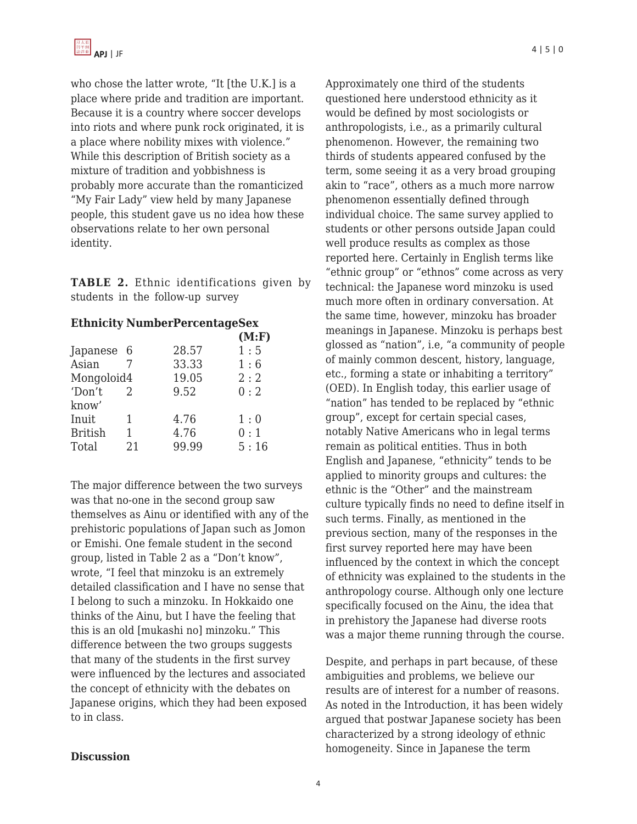who chose the latter wrote, "It [the U.K.] is a place where pride and tradition are important. Because it is a country where soccer develops into riots and where punk rock originated, it is a place where nobility mixes with violence." While this description of British society as a mixture of tradition and yobbishness is probably more accurate than the romanticized "My Fair Lady" view held by many Japanese people, this student gave us no idea how these observations relate to her own personal identity.

**TABLE 2.** Ethnic identifications given by students in the follow-up survey

## **Ethnicity NumberPercentageSex**

|                |               |       | (M: F) |
|----------------|---------------|-------|--------|
| Japanese 6     |               | 28.57 | 1:5    |
| Asian          |               | 33.33 | 1:6    |
| Mongoloid4     |               | 19.05 | 2:2    |
| 'Don't         | $\mathcal{L}$ | 9.52  | 0:2    |
| know'          |               |       |        |
| Inuit          | 1             | 4.76  | 1:0    |
| <b>British</b> | 1             | 4.76  | 0:1    |
| Total          | 21            | 99.99 | 5:16   |
|                |               |       |        |

The major difference between the two surveys was that no-one in the second group saw themselves as Ainu or identified with any of the prehistoric populations of Japan such as Jomon or Emishi. One female student in the second group, listed in Table 2 as a "Don't know", wrote, "I feel that minzoku is an extremely detailed classification and I have no sense that I belong to such a minzoku. In Hokkaido one thinks of the Ainu, but I have the feeling that this is an old [mukashi no] minzoku." This difference between the two groups suggests that many of the students in the first survey were influenced by the lectures and associated the concept of ethnicity with the debates on Japanese origins, which they had been exposed to in class.

Approximately one third of the students questioned here understood ethnicity as it would be defined by most sociologists or anthropologists, i.e., as a primarily cultural phenomenon. However, the remaining two thirds of students appeared confused by the term, some seeing it as a very broad grouping akin to "race", others as a much more narrow phenomenon essentially defined through individual choice. The same survey applied to students or other persons outside Japan could well produce results as complex as those reported here. Certainly in English terms like "ethnic group" or "ethnos" come across as very technical: the Japanese word minzoku is used much more often in ordinary conversation. At the same time, however, minzoku has broader meanings in Japanese. Minzoku is perhaps best glossed as "nation", i.e, "a community of people of mainly common descent, history, language, etc., forming a state or inhabiting a territory" (OED). In English today, this earlier usage of "nation" has tended to be replaced by "ethnic group", except for certain special cases, notably Native Americans who in legal terms remain as political entities. Thus in both English and Japanese, "ethnicity" tends to be applied to minority groups and cultures: the ethnic is the "Other" and the mainstream culture typically finds no need to define itself in such terms. Finally, as mentioned in the previous section, many of the responses in the first survey reported here may have been influenced by the context in which the concept of ethnicity was explained to the students in the anthropology course. Although only one lecture specifically focused on the Ainu, the idea that in prehistory the Japanese had diverse roots was a major theme running through the course.

Despite, and perhaps in part because, of these ambiguities and problems, we believe our results are of interest for a number of reasons. As noted in the Introduction, it has been widely argued that postwar Japanese society has been characterized by a strong ideology of ethnic homogeneity. Since in Japanese the term

#### **Discussion**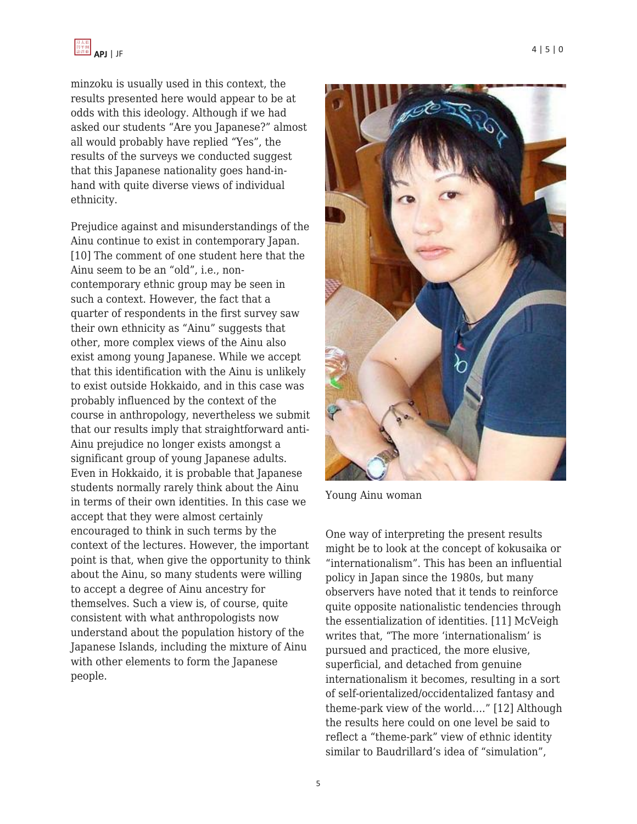

minzoku is usually used in this context, the results presented here would appear to be at odds with this ideology. Although if we had asked our students "Are you Japanese?" almost all would probably have replied "Yes", the results of the surveys we conducted suggest that this Japanese nationality goes hand-inhand with quite diverse views of individual ethnicity.

Prejudice against and misunderstandings of the Ainu continue to exist in contemporary Japan. [10] The comment of one student here that the Ainu seem to be an "old", i.e., noncontemporary ethnic group may be seen in such a context. However, the fact that a quarter of respondents in the first survey saw their own ethnicity as "Ainu" suggests that other, more complex views of the Ainu also exist among young Japanese. While we accept that this identification with the Ainu is unlikely to exist outside Hokkaido, and in this case was probably influenced by the context of the course in anthropology, nevertheless we submit that our results imply that straightforward anti-Ainu prejudice no longer exists amongst a significant group of young Japanese adults. Even in Hokkaido, it is probable that Japanese students normally rarely think about the Ainu in terms of their own identities. In this case we accept that they were almost certainly encouraged to think in such terms by the context of the lectures. However, the important point is that, when give the opportunity to think about the Ainu, so many students were willing to accept a degree of Ainu ancestry for themselves. Such a view is, of course, quite consistent with what anthropologists now understand about the population history of the Japanese Islands, including the mixture of Ainu with other elements to form the Japanese people.



Young Ainu woman

One way of interpreting the present results might be to look at the concept of kokusaika or "internationalism". This has been an influential policy in Japan since the 1980s, but many observers have noted that it tends to reinforce quite opposite nationalistic tendencies through the essentialization of identities. [11] McVeigh writes that, "The more 'internationalism' is pursued and practiced, the more elusive, superficial, and detached from genuine internationalism it becomes, resulting in a sort of self-orientalized/occidentalized fantasy and theme-park view of the world…." [12] Although the results here could on one level be said to reflect a "theme-park" view of ethnic identity similar to Baudrillard's idea of "simulation",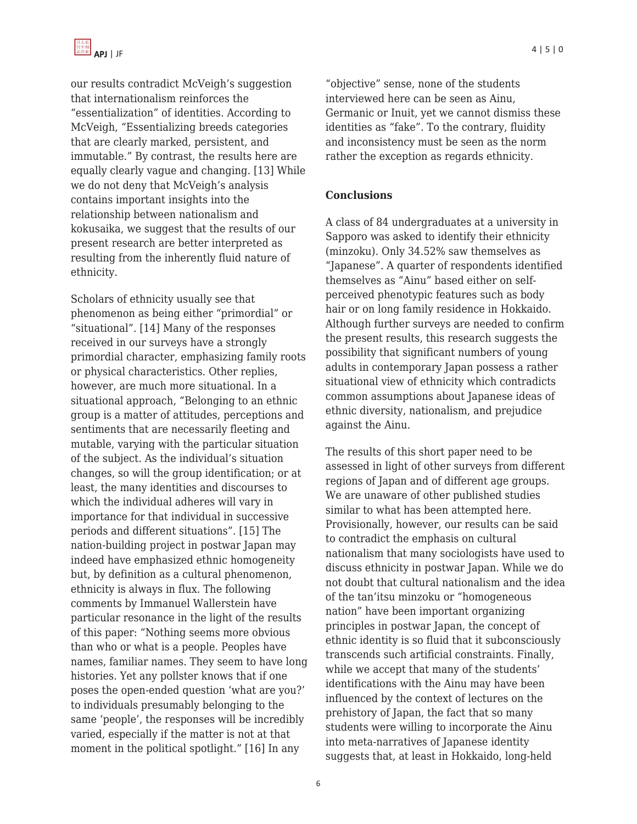

our results contradict McVeigh's suggestion that internationalism reinforces the "essentialization" of identities. According to McVeigh, "Essentializing breeds categories that are clearly marked, persistent, and immutable." By contrast, the results here are equally clearly vague and changing. [13] While we do not deny that McVeigh's analysis contains important insights into the relationship between nationalism and kokusaika, we suggest that the results of our present research are better interpreted as resulting from the inherently fluid nature of ethnicity.

Scholars of ethnicity usually see that phenomenon as being either "primordial" or "situational". [14] Many of the responses received in our surveys have a strongly primordial character, emphasizing family roots or physical characteristics. Other replies, however, are much more situational. In a situational approach, "Belonging to an ethnic group is a matter of attitudes, perceptions and sentiments that are necessarily fleeting and mutable, varying with the particular situation of the subject. As the individual's situation changes, so will the group identification; or at least, the many identities and discourses to which the individual adheres will vary in importance for that individual in successive periods and different situations". [15] The nation-building project in postwar Japan may indeed have emphasized ethnic homogeneity but, by definition as a cultural phenomenon, ethnicity is always in flux. The following comments by Immanuel Wallerstein have particular resonance in the light of the results of this paper: "Nothing seems more obvious than who or what is a people. Peoples have names, familiar names. They seem to have long histories. Yet any pollster knows that if one poses the open-ended question 'what are you?' to individuals presumably belonging to the same 'people', the responses will be incredibly varied, especially if the matter is not at that moment in the political spotlight." [16] In any

"objective" sense, none of the students interviewed here can be seen as Ainu, Germanic or Inuit, yet we cannot dismiss these identities as "fake". To the contrary, fluidity and inconsistency must be seen as the norm rather the exception as regards ethnicity.

#### **Conclusions**

A class of 84 undergraduates at a university in Sapporo was asked to identify their ethnicity (minzoku). Only 34.52% saw themselves as "Japanese". A quarter of respondents identified themselves as "Ainu" based either on selfperceived phenotypic features such as body hair or on long family residence in Hokkaido. Although further surveys are needed to confirm the present results, this research suggests the possibility that significant numbers of young adults in contemporary Japan possess a rather situational view of ethnicity which contradicts common assumptions about Japanese ideas of ethnic diversity, nationalism, and prejudice against the Ainu.

The results of this short paper need to be assessed in light of other surveys from different regions of Japan and of different age groups. We are unaware of other published studies similar to what has been attempted here. Provisionally, however, our results can be said to contradict the emphasis on cultural nationalism that many sociologists have used to discuss ethnicity in postwar Japan. While we do not doubt that cultural nationalism and the idea of the tan'itsu minzoku or "homogeneous nation" have been important organizing principles in postwar Japan, the concept of ethnic identity is so fluid that it subconsciously transcends such artificial constraints. Finally, while we accept that many of the students' identifications with the Ainu may have been influenced by the context of lectures on the prehistory of Japan, the fact that so many students were willing to incorporate the Ainu into meta-narratives of Japanese identity suggests that, at least in Hokkaido, long-held